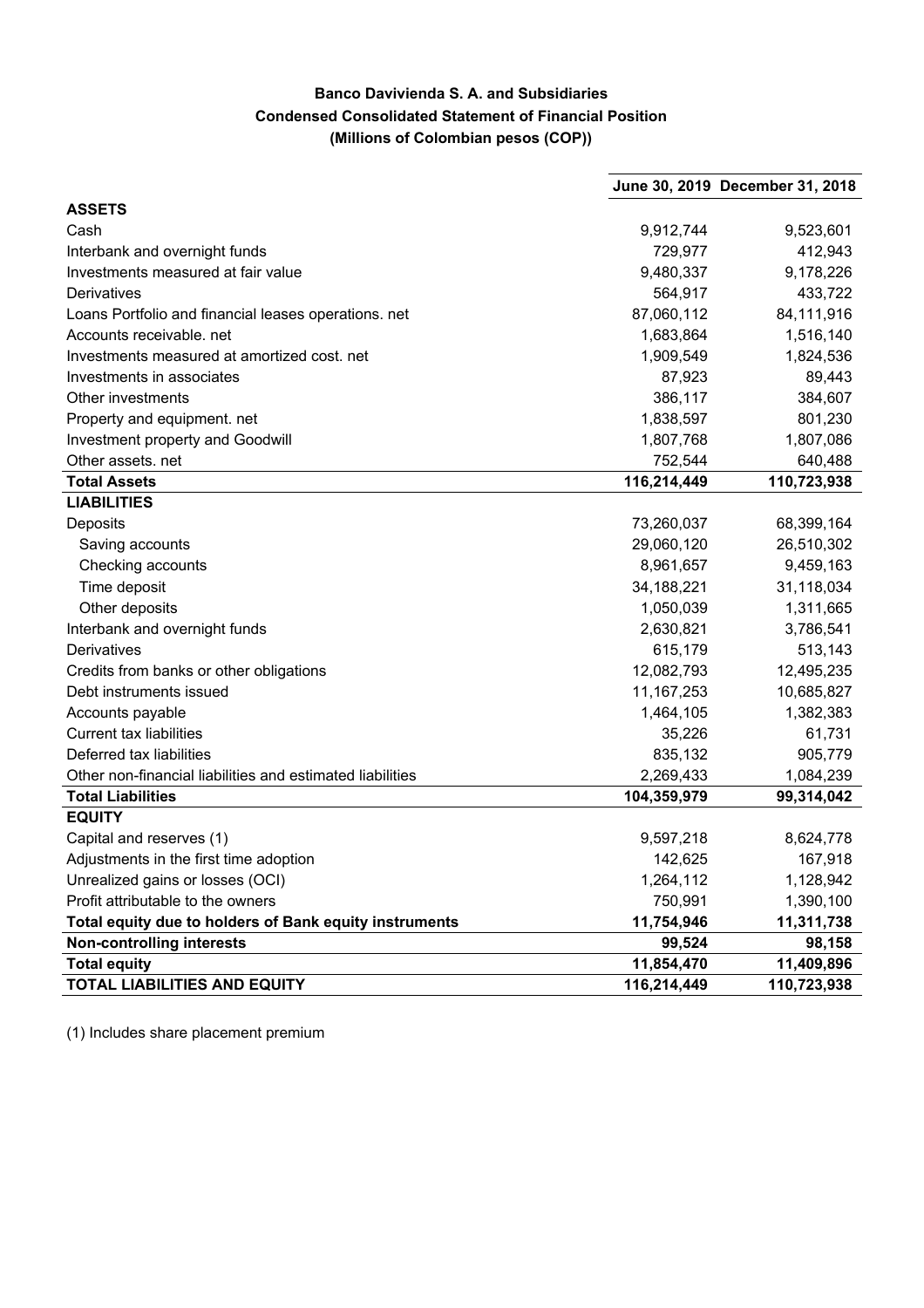## **Banco Davivienda S. A. and Subsidiaries Condensed Consolidated Statement of Financial Position (Millions of Colombian pesos (COP))**

|                                                           |              | June 30, 2019 December 31, 2018 |
|-----------------------------------------------------------|--------------|---------------------------------|
| <b>ASSETS</b>                                             |              |                                 |
| Cash                                                      | 9,912,744    | 9,523,601                       |
| Interbank and overnight funds                             | 729,977      | 412,943                         |
| Investments measured at fair value                        | 9,480,337    | 9,178,226                       |
| Derivatives                                               | 564,917      | 433,722                         |
| Loans Portfolio and financial leases operations. net      | 87,060,112   | 84,111,916                      |
| Accounts receivable, net                                  | 1,683,864    | 1,516,140                       |
| Investments measured at amortized cost. net               | 1,909,549    | 1,824,536                       |
| Investments in associates                                 | 87,923       | 89,443                          |
| Other investments                                         | 386,117      | 384,607                         |
| Property and equipment. net                               | 1,838,597    | 801,230                         |
| Investment property and Goodwill                          | 1,807,768    | 1,807,086                       |
| Other assets. net                                         | 752,544      | 640,488                         |
| <b>Total Assets</b>                                       | 116,214,449  | 110,723,938                     |
| <b>LIABILITIES</b>                                        |              |                                 |
| Deposits                                                  | 73,260,037   | 68,399,164                      |
| Saving accounts                                           | 29,060,120   | 26,510,302                      |
| Checking accounts                                         | 8,961,657    | 9,459,163                       |
| Time deposit                                              | 34,188,221   | 31,118,034                      |
| Other deposits                                            | 1,050,039    | 1,311,665                       |
| Interbank and overnight funds                             | 2,630,821    | 3,786,541                       |
| Derivatives                                               | 615,179      | 513,143                         |
| Credits from banks or other obligations                   | 12,082,793   | 12,495,235                      |
| Debt instruments issued                                   | 11, 167, 253 | 10,685,827                      |
| Accounts payable                                          | 1,464,105    | 1,382,383                       |
| <b>Current tax liabilities</b>                            | 35,226       | 61,731                          |
| Deferred tax liabilities                                  | 835,132      | 905,779                         |
| Other non-financial liabilities and estimated liabilities | 2,269,433    | 1,084,239                       |
| <b>Total Liabilities</b>                                  | 104,359,979  | 99,314,042                      |
| <b>EQUITY</b>                                             |              |                                 |
| Capital and reserves (1)                                  | 9,597,218    | 8,624,778                       |
| Adjustments in the first time adoption                    | 142,625      | 167,918                         |
| Unrealized gains or losses (OCI)                          | 1,264,112    | 1,128,942                       |
| Profit attributable to the owners                         | 750,991      | 1,390,100                       |
| Total equity due to holders of Bank equity instruments    | 11,754,946   | 11,311,738                      |
| <b>Non-controlling interests</b>                          | 99,524       | 98,158                          |
| <b>Total equity</b>                                       | 11,854,470   | 11,409,896                      |
| <b>TOTAL LIABILITIES AND EQUITY</b>                       | 116,214,449  | 110,723,938                     |

(1) Includes share placement premium